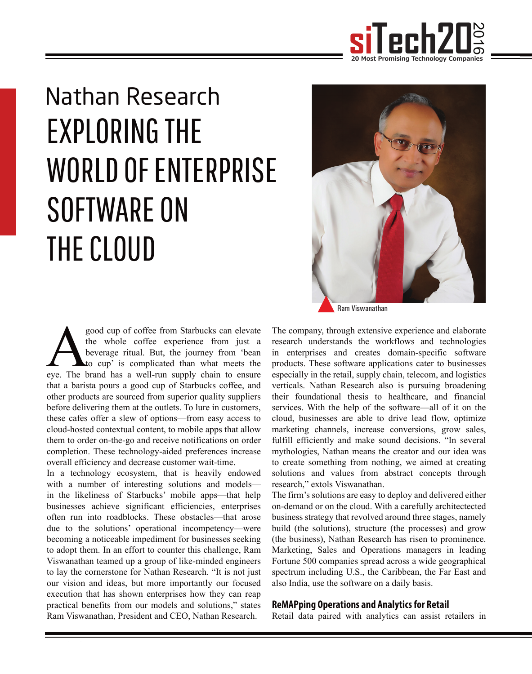

# Nathan Research EXPLORING THE WORLD OF ENTERPRISE SOFTWARE ON THE CLOUD

good cup of coffee from Starbucks can elevate<br>the whole coffee experience from just a<br>beverage ritual. But, the journey from 'bean<br>eye. The brand has a well-run supply chain to ensure the whole coffee experience from just a beverage ritual. But, the journey from 'bean to cup' is complicated than what meets the that a barista pours a good cup of Starbucks coffee, and other products are sourced from superior quality suppliers before delivering them at the outlets. To lure in customers, these cafes offer a slew of options—from easy access to cloud-hosted contextual content, to mobile apps that allow them to order on-the-go and receive notifications on order completion. These technology-aided preferences increase overall efficiency and decrease customer wait-time.

In a technology ecosystem, that is heavily endowed with a number of interesting solutions and models in the likeliness of Starbucks' mobile apps—that help businesses achieve significant efficiencies, enterprises often run into roadblocks. These obstacles—that arose due to the solutions' operational incompetency—were becoming a noticeable impediment for businesses seeking to adopt them. In an effort to counter this challenge, Ram Viswanathan teamed up a group of like-minded engineers to lay the cornerstone for Nathan Research. "It is not just our vision and ideas, but more importantly our focused execution that has shown enterprises how they can reap practical benefits from our models and solutions," states Ram Viswanathan, President and CEO, Nathan Research.



Ram Viswanathan

The company, through extensive experience and elaborate research understands the workflows and technologies in enterprises and creates domain-specific software products. These software applications cater to businesses especially in the retail, supply chain, telecom, and logistics verticals. Nathan Research also is pursuing broadening their foundational thesis to healthcare, and financial services. With the help of the software—all of it on the cloud, businesses are able to drive lead flow, optimize marketing channels, increase conversions, grow sales, fulfill efficiently and make sound decisions. "In several mythologies, Nathan means the creator and our idea was to create something from nothing, we aimed at creating solutions and values from abstract concepts through research," extols Viswanathan.

The firm's solutions are easy to deploy and delivered either on-demand or on the cloud. With a carefully architectected business strategy that revolved around three stages, namely build (the solutions), structure (the processes) and grow (the business), Nathan Research has risen to prominence. Marketing, Sales and Operations managers in leading Fortune 500 companies spread across a wide geographical spectrum including U.S., the Caribbean, the Far East and also India, use the software on a daily basis.

#### **ReMAPping Operations and Analytics for Retail**

Retail data paired with analytics can assist retailers in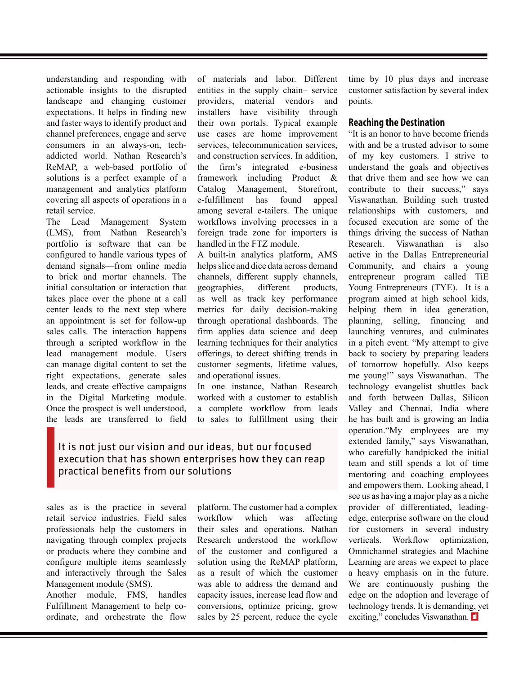understanding and responding with actionable insights to the disrupted landscape and changing customer expectations. It helps in finding new and faster ways to identify product and channel preferences, engage and serve consumers in an always-on, techaddicted world. Nathan Research's ReMAP, a web-based portfolio of solutions is a perfect example of a management and analytics platform covering all aspects of operations in a retail service.

The Lead Management System (LMS), from Nathan Research's portfolio is software that can be configured to handle various types of demand signals—from online media to brick and mortar channels. The initial consultation or interaction that takes place over the phone at a call center leads to the next step where an appointment is set for follow-up sales calls. The interaction happens through a scripted workflow in the lead management module. Users can manage digital content to set the right expectations, generate sales leads, and create effective campaigns in the Digital Marketing module. Once the prospect is well understood, the leads are transferred to field

of materials and labor. Different entities in the supply chain– service providers, material vendors and installers have visibility through their own portals. Typical example use cases are home improvement services, telecommunication services, and construction services. In addition, the firm's integrated e-business<br>framework including Product  $\&$ including Product  $\&$ Catalog Management, Storefront, e-fulfillment has found appeal among several e-tailers. The unique workflows involving processes in a foreign trade zone for importers is handled in the FTZ module.

A built-in analytics platform, AMS helps slice and dice data across demand channels, different supply channels, geographies, different products, as well as track key performance metrics for daily decision-making through operational dashboards. The firm applies data science and deep learning techniques for their analytics offerings, to detect shifting trends in customer segments, lifetime values, and operational issues.

In one instance, Nathan Research worked with a customer to establish a complete workflow from leads to sales to fulfillment using their

### It is not just our vision and our ideas, but our focused execution that has shown enterprises how they can reap practical benefits from our solutions

sales as is the practice in several retail service industries. Field sales professionals help the customers in navigating through complex projects or products where they combine and configure multiple items seamlessly and interactively through the Sales Management module (SMS).

Another module, FMS, handles Fulfillment Management to help coordinate, and orchestrate the flow

platform. The customer had a complex workflow which was affecting their sales and operations. Nathan Research understood the workflow of the customer and configured a solution using the ReMAP platform, as a result of which the customer was able to address the demand and capacity issues, increase lead flow and conversions, optimize pricing, grow sales by 25 percent, reduce the cycle time by 10 plus days and increase customer satisfaction by several index points.

#### **Reaching the Destination**

redesimaling and repeating with of russes) and labor. Princes interest into a priori interest interest into a statistical particular interest into a statistical particular interest into a statistical particular interest i "It is an honor to have become friends with and be a trusted advisor to some of my key customers. I strive to understand the goals and objectives that drive them and see how we can contribute to their success," says Viswanathan. Building such trusted relationships with customers, and focused execution are some of the things driving the success of Nathan Research. Viswanathan is also active in the Dallas Entrepreneurial Community, and chairs a young entrepreneur program called TiE Young Entrepreneurs (TYE). It is a program aimed at high school kids, helping them in idea generation, planning, selling, financing and launching ventures, and culminates in a pitch event. "My attempt to give back to society by preparing leaders of tomorrow hopefully. Also keeps me young!" says Viswanathan. The technology evangelist shuttles back and forth between Dallas, Silicon Valley and Chennai, India where he has built and is growing an India operation."My employees are my extended family," says Viswanathan, who carefully handpicked the initial team and still spends a lot of time mentoring and coaching employees and empowers them. Looking ahead, I see us as having a major play as a niche provider of differentiated, leadingedge, enterprise software on the cloud for customers in several industry verticals. Workflow optimization, Omnichannel strategies and Machine Learning are areas we expect to place a heavy emphasis on in the future. We are continuously pushing the edge on the adoption and leverage of technology trends. It is demanding, yet exciting," concludes Viswanathan. si